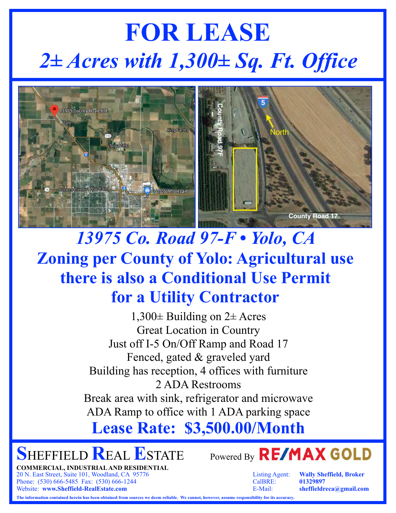# **FOR LEASE** *2± Acres with 1,300± Sq. Ft. Office*



### *13975 Co. Road 97-F • Yolo, CA*  **Zoning per County of Yolo: Agricultural use there is also a Conditional Use Permit for a Utility Contractor**

1,300± Building on 2± Acres Great Location in Country Just off I-5 On/Off Ramp and Road 17 Fenced, gated & graveled yard Building has reception, 4 offices with furniture 2 ADA Restrooms Break area with sink, refrigerator and microwave ADA Ramp to office with 1 ADA parking space

**Lease Rate: \$3,500.00/Month**

**SHEFFIELD REAL ESTATE** Powered By **RE/MAX GOLD** 

**COMMERCIAL, INDUSTRIAL AND RESIDENTIAL** 20 N. East Street, Suite 101, Woodland, CA 95776 Listing Agent: **Wally Sheffield, Broker** Phone: (530) 666-5485 Fax: (530) 666-1244 CalBRE: **01329897** Website: **www.Sheffield-RealEstate.com** E-Mail: **sheffieldreca@gmail.com**



**The information contained herein has been obtained from sources we deem reliable. We cannot, however, assume responsibility for its accuracy.**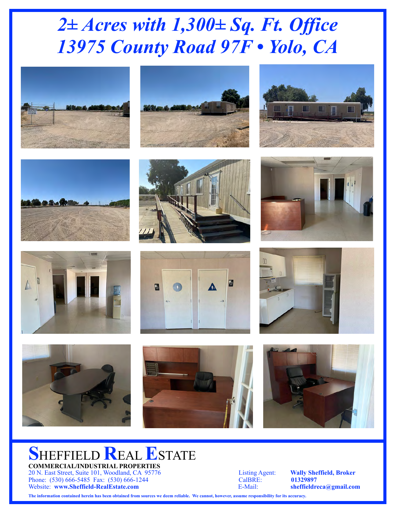## *2± Acres with 1,300± Sq. Ft. Office 13975 County Road 97F • Yolo, CA*

























#### **SHEFFIELD REAL ESTATE COMMERCIAL/INDUSTRIAL PROPERTIES**

20 N. East Street, Suite 101, Woodland, CA 95776 Listing Agent: **Wally Sheffield, Broker** Phone: (530) 666-5485 Fax: (530) 666-1244 CalBRE: **01329897** Website: **www.Sheffield-RealEstate.com** E-Mail: **sheffieldreca@gmail.com**

**The information contained herein has been obtained from sources we deem reliable. We cannot, however, assume responsibility for its accuracy.**